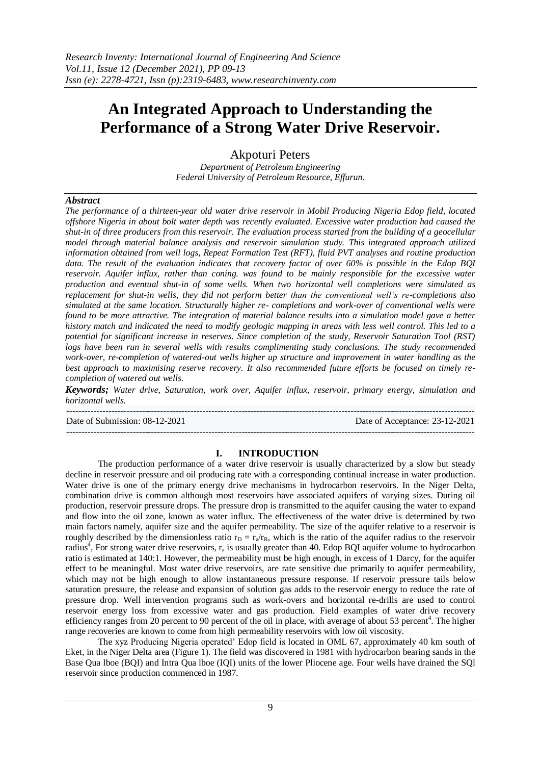# **An Integrated Approach to Understanding the Performance of a Strong Water Drive Reservoir.**

Akpoturi Peters

*Department of Petroleum Engineering Federal University of Petroleum Resource, Effurun.*

# *Abstract*

*The performance of a thirteen-year old water drive reservoir in Mobil Producing Nigeria Edop field, located offshore Nigeria in about bolt water depth was recently evaluated. Excessive water production had caused the shut-in of three producers from this reservoir. The evaluation process started from the building of a geocellular model through material balance analysis and reservoir simulation study. This integrated approach utilized information obtained from well logs, Repeat Formation Test (RFT), fluid PVT analyses and routine production data. The result of the evaluation indicates that recovery factor of over 60% is possible in the Edop BQI reservoir. Aquifer influx, rather than coning. was found to be mainly responsible for the excessive water production and eventual shut-in of some wells. When two horizontal well completions were simulated as replacement for shut-in wells, they did not perform better than the conventional well's re-completions also simulated at the same location. Structurally higher re- completions and work-over of conventional wells were found to be more attractive. The integration of material balance results into a simulation model gave a better history match and indicated the need to modify geologic mapping in areas with less well control. This led to a potential for significant increase in reserves. Since completion of the study, Reservoir Saturation Tool (RST) logs have been run in several wells with results complimenting study conclusions. The study recommended work-over, re-completion of watered-out wells higher up structure and improvement in water handling as the best approach to maximising reserve recovery. It also recommended future efforts be focused on timely recompletion of watered out wells.*

*Keywords; Water drive, Saturation, work over, Aquifer influx, reservoir, primary energy, simulation and horizontal wells.*

---------------------------------------------------------------------------------------------------------------------------------------

Date of Submission: 08-12-2021 Date of Acceptance: 23-12-2021

---------------------------------------------------------------------------------------------------------------------------------------

# **I. INTRODUCTION**

The production performance of a water drive reservoir is usually characterized by a slow but steady decline in reservoir pressure and oil producing rate with a corresponding continual increase in water production. Water drive is one of the primary energy drive mechanisms in hydrocarbon reservoirs. In the Niger Delta, combination drive is common although most reservoirs have associated aquifers of varying sizes. During oil production, reservoir pressure drops. The pressure drop is transmitted to the aquifer causing the water to expand and flow into the oil zone, known as water influx. The effectiveness of the water drive is determined by two main factors namely, aquifer size and the aquifer permeability. The size of the aquifer relative to a reservoir is roughly described by the dimensionless ratio  $r_D = r_a/r_R$ , which is the ratio of the aquifer radius to the reservoir radius<sup>4</sup>, For strong water drive reservoirs, r, is usually greater than 40. Edop BQI aquifer volume to hydrocarbon ratio is estimated at 140:1. However, the permeability must be high enough, in excess of 1 Darcy, for the aquifer effect to be meaningful. Most water drive reservoirs, are rate sensitive due primarily to aquifer permeability, which may not be high enough to allow instantaneous pressure response. If reservoir pressure tails below saturation pressure, the release and expansion of solution gas adds to the reservoir energy to reduce the rate of pressure drop. Well intervention programs such as work-overs and horizontal re-drills are used to control reservoir energy loss from excessive water and gas production. Field examples of water drive recovery efficiency ranges from 20 percent to 90 percent of the oil in place, with average of about 53 percent<sup>4</sup>. The higher range recoveries are known to come from high permeability reservoirs with low oil viscosity.

The xyz Producing Nigeria operated' Edop field is located in OML 67, approximately 40 km south of Eket, in the Niger Delta area (Figure 1). The field was discovered in 1981 with hydrocarbon bearing sands in the Base Qua lboe (BQI) and Intra Qua lboe (IQI) units of the lower Pliocene age. Four wells have drained the SQl reservoir since production commenced in 1987.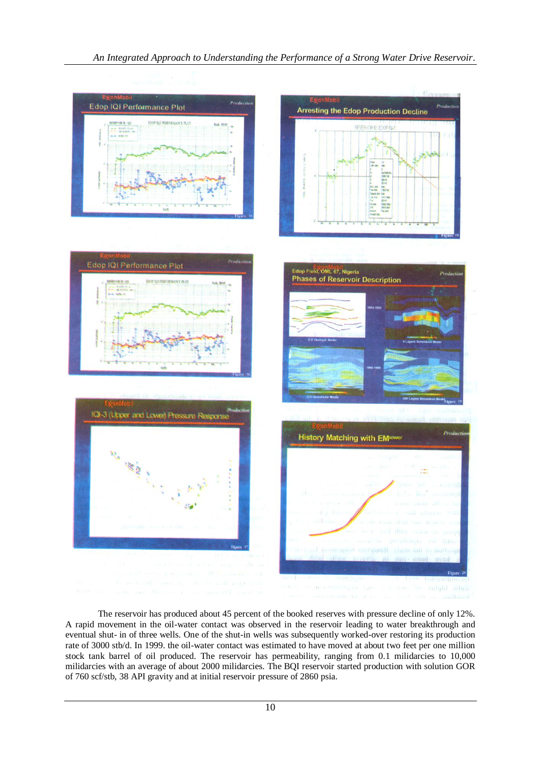

The reservoir has produced about 45 percent of the booked reserves with pressure decline of only 12%. A rapid movement in the oil-water contact was observed in the reservoir leading to water breakthrough and eventual shut- in of three wells. One of the shut-in wells was subsequently worked-over restoring its production rate of 3000 stb/d. In 1999. the oil-water contact was estimated to have moved at about two feet per one million stock tank barrel of oil produced. The reservoir has permeability, ranging from 0.1 milidarcies to 10,000 milidarcies with an average of about 2000 milidarcies. The BQI reservoir started production with solution GOR of 760 scf/stb, 38 API gravity and at initial reservoir pressure of 2860 psia.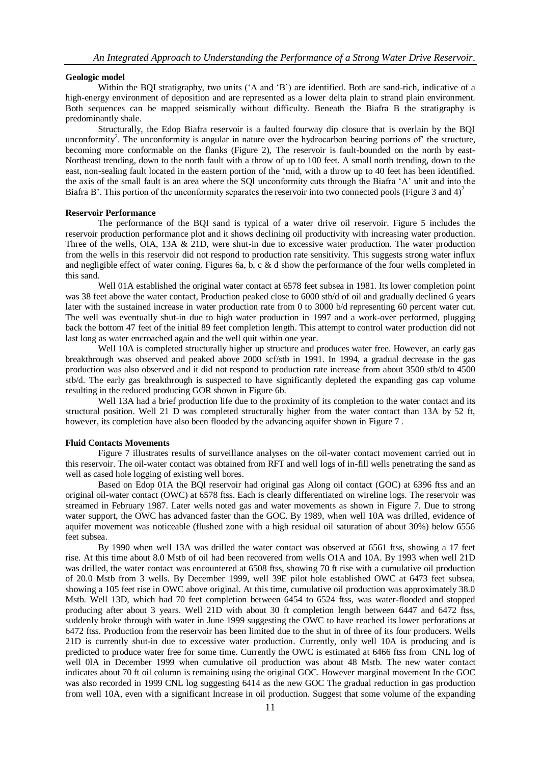## **Geologic model**

Within the BQI stratigraphy, two units ('A and 'B') are identified. Both are sand-rich, indicative of a high-energy environment of deposition and are represented as a lower delta plain to strand plain environment. Both sequences can be mapped seismically without difficulty. Beneath the Biafra B the stratigraphy is predominantly shale.

Structurally, the Edop Biafra reservoir is a faulted fourway dip closure that is overlain by the BQI unconformity<sup>2</sup>. The unconformity is angular in nature over the hydrocarbon bearing portions of the structure, becoming more conformable on the flanks (Figure 2), The reservoir is fault-bounded on the north by east-Northeast trending, down to the north fault with a throw of up to 100 feet. A small north trending, down to the east, non-sealing fault located in the eastern portion of the 'mid, with a throw up to 40 feet has been identified. the axis of the small fault is an area where the SQl unconformity cuts through the Biafra 'A' unit and into the Biafra B'. This portion of the unconformity separates the reservoir into two connected pools (Figure 3 and  $4$ )<sup>2</sup>

## **Reservoir Performance**

The performance of the BQI sand is typical of a water drive oil reservoir. Figure 5 includes the reservoir production performance plot and it shows declining oil productivity with increasing water production. Three of the wells, OIA, 13A & 21D, were shut-in due to excessive water production. The water production from the wells in this reservoir did not respond to production rate sensitivity. This suggests strong water influx and negligible effect of water coning. Figures 6a, b, c & d show the performance of the four wells completed in this sand.

Well 01A established the original water contact at 6578 feet subsea in 1981. Its lower completion point was 38 feet above the water contact, Production peaked close to 6000 stb/d of oil and gradually declined 6 years later with the sustained increase in water production rate from 0 to 3000 b/d representing 60 percent water cut. The well was eventually shut-in due to high water production in 1997 and a work-over performed, plugging back the bottom 47 feet of the initial 89 feet completion length. This attempt to control water production did not last long as water encroached again and the well quit within one year.

Well 10A is completed structurally higher up structure and produces water free. However, an early gas breakthrough was observed and peaked above 2000 scf/stb in 1991. In 1994, a gradual decrease in the gas production was also observed and it did not respond to production rate increase from about 3500 stb/d to 4500 stb/d. The early gas breakthrough is suspected to have significantly depleted the expanding gas cap volume resulting in the reduced producing GOR shown in Figure 6b.

Well 13A had a brief production life due to the proximity of its completion to the water contact and its structural position. Well 21 D was completed structurally higher from the water contact than 13A by 52 ft, however, its completion have also been flooded by the advancing aquifer shown in Figure 7 .

#### **Fluid Contacts Movements**

Figure 7 illustrates results of surveillance analyses on the oil-water contact movement carried out in this reservoir. The oil-water contact was obtained from RFT and well logs of in-fill wells penetrating the sand as well as cased hole logging of existing well bores.

Based on Edop 01A the BQl reservoir had original gas Along oil contact (GOC) at 6396 ftss and an original oil-water contact (OWC) at 6578 ftss. Each is clearly differentiated on wireline logs. The reservoir was streamed in February 1987. Later wells noted gas and water movements as shown in Figure 7. Due to strong water support, the OWC has advanced faster than the GOC. By 1989, when well 10A was drilled, evidence of aquifer movement was noticeable (flushed zone with a high residual oil saturation of about 30%) below 6556 feet subsea.

By 1990 when well 13A was drilled the water contact was observed at 6561 ftss, showing a 17 feet rise. At this time about 8.0 Mstb of oil had been recovered from wells O1A and 10A. By 1993 when well 21D was drilled, the water contact was encountered at 6508 ftss, showing 70 ft rise with a cumulative oil production of 20.0 Mstb from 3 wells. By December 1999, well 39E pilot hole established OWC at 6473 feet subsea, showing a 105 feet rise in OWC above original. At this time, cumulative oil production was approximately 38.0 Mstb. Well 13D, which had 70 feet completion between 6454 to 6524 ftss, was water-flooded and stopped producing after about 3 years. Well 21D with about 30 ft completion length between 6447 and 6472 ftss, suddenly broke through with water in June 1999 suggesting the OWC to have reached its lower perforations at 6472 ftss. Production from the reservoir has been limited due to the shut in of three of its four producers. Wells 21D is currently shut-in due to excessive water production. Currently, only well 10A is producing and is predicted to produce water free for some time. Currently the OWC is estimated at 6466 ftss from CNL log of well 0lA in December 1999 when cumulative oil production was about 48 Mstb. The new water contact indicates about 70 ft oil column is remaining using the original GOC. However marginal movement In the GOC was also recorded in 1999 CNL log suggesting 6414 as the new GOC The gradual reduction in gas production from well 10A, even with a significant Increase in oil production. Suggest that some volume of the expanding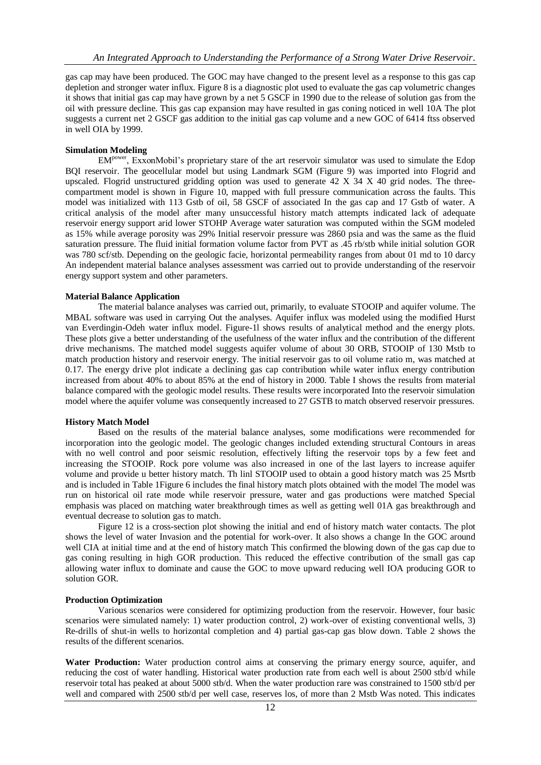gas cap may have been produced. The GOC may have changed to the present level as a response to this gas cap depletion and stronger water influx. Figure 8 is a diagnostic plot used to evaluate the gas cap volumetric changes it shows that initial gas cap may have grown by a net 5 GSCF in 1990 due to the release of solution gas from the oil with pressure decline. This gas cap expansion may have resulted in gas coning noticed in well 10A The plot suggests a current net 2 GSCF gas addition to the initial gas cap volume and a new GOC of 6414 ftss observed in well OIA by 1999.

### **Simulation Modeling**

EMpower, ExxonMobil's proprietary stare of the art reservoir simulator was used to simulate the Edop BQI reservoir. The geocellular model but using Landmark SGM (Figure 9) was imported into Flogrid and upscaled. Flogrid unstructured gridding option was used to generate 42 X 34 X 40 grid nodes. The threecompartment model is shown in Figure 10, mapped with full pressure communication across the faults. This model was initialized with 113 Gstb of oil, 58 GSCF of associated In the gas cap and 17 Gstb of water. A critical analysis of the model after many unsuccessful history match attempts indicated lack of adequate reservoir energy support arid lower STOHP Average water saturation was computed within the SGM modeled as 15% while average porosity was 29% Initial reservoir pressure was 2860 psia and was the same as the fluid saturation pressure. The fluid initial formation volume factor from PVT as .45 rb/stb while initial solution GOR was 780 scf/stb. Depending on the geologic facie, horizontal permeability ranges from about 01 md to 10 darcy An independent material balance analyses assessment was carried out to provide understanding of the reservoir energy support system and other parameters.

## **Material Balance Application**

The material balance analyses was carried out, primarily, to evaluate STOOIP and aquifer volume. The MBAL software was used in carrying Out the analyses. Aquifer influx was modeled using the modified Hurst van Everdingin-Odeh water influx model. Figure-1l shows results of analytical method and the energy plots. These plots give a better understanding of the usefulness of the water influx and the contribution of the different drive mechanisms. The matched model suggests aquifer volume of about 30 ORB, STOOIP of 130 Mstb to match production history and reservoir energy. The initial reservoir gas to oil volume ratio m, was matched at 0.17. The energy drive plot indicate a declining gas cap contribution while water influx energy contribution increased from about 40% to about 85% at the end of history in 2000. Table I shows the results from material balance compared with the geologic model results. These results were incorporated Into the reservoir simulation model where the aquifer volume was consequently increased to 27 GSTB to match observed reservoir pressures.

### **History Match Model**

Based on the results of the material balance analyses, some modifications were recommended for incorporation into the geologic model. The geologic changes included extending structural Contours in areas with no well control and poor seismic resolution, effectively lifting the reservoir tops by a few feet and increasing the STOOIP. Rock pore volume was also increased in one of the last layers to increase aquifer volume and provide u better history match. Th linl STOOIP used to obtain a good history match was 25 Msrtb and is included in Table 1Figure 6 includes the final history match plots obtained with the model The model was run on historical oil rate mode while reservoir pressure, water and gas productions were matched Special emphasis was placed on matching water breakthrough times as well as getting well 01A gas breakthrough and eventual decrease to solution gas to match.

Figure 12 is a cross-section plot showing the initial and end of history match water contacts. The plot shows the level of water Invasion and the potential for work-over. It also shows a change In the GOC around well CIA at initial time and at the end of history match This confirmed the blowing down of the gas cap due to gas coning resulting in high GOR production. This reduced the effective contribution of the small gas cap allowing water influx to dominate and cause the GOC to move upward reducing well IOA producing GOR to solution GOR.

#### **Production Optimization**

Various scenarios were considered for optimizing production from the reservoir. However, four basic scenarios were simulated namely: 1) water production control, 2) work-over of existing conventional wells, 3) Re-drills of shut-in wells to horizontal completion and 4) partial gas-cap gas blow down. Table 2 shows the results of the different scenarios.

**Water Production:** Water production control aims at conserving the primary energy source, aquifer, and reducing the cost of water handling. Historical water production rate from each well is about 2500 stb/d while reservoir total has peaked at about 5000 stb/d. When the water production rare was constrained to 1500 stb/d per well and compared with 2500 stb/d per well case, reserves los, of more than 2 Mstb Was noted. This indicates